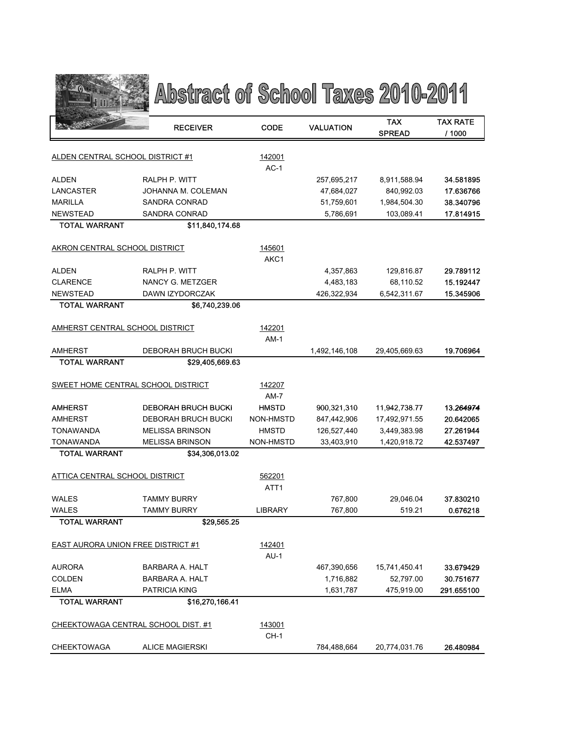

## Abstract of School Taxes 2010-2011

|                                    | <b>RECEIVER</b>                     | <b>CODE</b>    | <b>VALUATION</b> | TAX<br><b>SPREAD</b> | <b>TAX RATE</b><br>/ 1000 |
|------------------------------------|-------------------------------------|----------------|------------------|----------------------|---------------------------|
|                                    |                                     |                |                  |                      |                           |
| ALDEN CENTRAL SCHOOL DISTRICT #1   |                                     | 142001         |                  |                      |                           |
|                                    |                                     | $AC-1$         |                  |                      |                           |
| <b>ALDEN</b>                       | RALPH P. WITT                       |                | 257,695,217      | 8,911,588.94         | 34.581895                 |
| LANCASTER                          | JOHANNA M. COLEMAN                  |                | 47,684,027       | 840,992.03           | 17.636766                 |
| <b>MARILLA</b>                     | SANDRA CONRAD                       |                | 51,759,601       | 1,984,504.30         | 38.340796                 |
| <b>NEWSTEAD</b>                    | SANDRA CONRAD                       |                | 5,786,691        | 103,089.41           | 17.814915                 |
| <b>TOTAL WARRANT</b>               | \$11.840.174.68                     |                |                  |                      |                           |
| AKRON CENTRAL SCHOOL DISTRICT      |                                     | 145601         |                  |                      |                           |
|                                    |                                     | AKC1           |                  |                      |                           |
| <b>ALDEN</b>                       | RALPH P. WITT                       |                | 4,357,863        | 129,816.87           | 29.789112                 |
| <b>CLARENCE</b>                    | NANCY G. METZGER                    |                | 4,483,183        | 68,110.52            | 15.192447                 |
| <b>NEWSTEAD</b>                    | DAWN IZYDORCZAK                     |                | 426,322,934      | 6,542,311.67         | 15.345906                 |
| <b>TOTAL WARRANT</b>               | \$6,740,239.06                      |                |                  |                      |                           |
|                                    |                                     |                |                  |                      |                           |
| AMHERST CENTRAL SCHOOL DISTRICT    |                                     | 142201         |                  |                      |                           |
|                                    |                                     | AM-1           |                  |                      |                           |
| <b>AMHERST</b>                     | <b>DEBORAH BRUCH BUCKI</b>          |                | 1,492,146,108    | 29,405,669.63        | 19.706964                 |
| <b>TOTAL WARRANT</b>               | \$29,405,669.63                     |                |                  |                      |                           |
| SWEET HOME CENTRAL SCHOOL DISTRICT |                                     | 142207         |                  |                      |                           |
|                                    |                                     | $AM-7$         |                  |                      |                           |
| <b>AMHERST</b>                     | <b>DEBORAH BRUCH BUCKI</b>          | <b>HMSTD</b>   | 900,321,310      | 11,942,738.77        | 13.264974                 |
| <b>AMHERST</b>                     | DEBORAH BRUCH BUCKI                 | NON-HMSTD      | 847,442,906      | 17,492,971.55        | 20.642065                 |
| <b>TONAWANDA</b>                   | <b>MELISSA BRINSON</b>              | <b>HMSTD</b>   | 126,527,440      | 3,449,383.98         | 27.261944                 |
| <b>TONAWANDA</b>                   | <b>MELISSA BRINSON</b>              | NON-HMSTD      | 33,403,910       | 1,420,918.72         | 42.537497                 |
| <b>TOTAL WARRANT</b>               | \$34,306,013.02                     |                |                  |                      |                           |
|                                    |                                     |                |                  |                      |                           |
| ATTICA CENTRAL SCHOOL DISTRICT     |                                     | 562201         |                  |                      |                           |
|                                    |                                     | ATT1           |                  |                      |                           |
| <b>WALES</b>                       | <b>TAMMY BURRY</b>                  |                | 767,800          | 29,046.04            | 37.830210                 |
| WALES                              | <b>TAMMY BURRY</b>                  | <b>LIBRARY</b> | 767,800          | 519.21               | 0.676218                  |
| <b>TOTAL WARRANT</b>               | \$29,565.25                         |                |                  |                      |                           |
| EAST AURORA UNION FREE DISTRICT #1 |                                     | 142401         |                  |                      |                           |
|                                    |                                     | $AU-1$         |                  |                      |                           |
| AURORA                             | BARBARA A. HALT                     |                | 467,390,656      | 15,741,450.41        | 33.679429                 |
| <b>COLDEN</b>                      | <b>BARBARA A. HALT</b>              |                | 1,716,882        | 52,797.00            | 30.751677                 |
| <b>ELMA</b>                        | <b>PATRICIA KING</b>                |                | 1,631,787        | 475,919.00           | 291.655100                |
| <b>TOTAL WARRANT</b>               | \$16,270,166.41                     |                |                  |                      |                           |
|                                    |                                     |                |                  |                      |                           |
|                                    | CHEEKTOWAGA CENTRAL SCHOOL DIST. #1 | 143001         |                  |                      |                           |
|                                    |                                     | CH-1           |                  |                      |                           |
| <b>CHEEKTOWAGA</b>                 | <b>ALICE MAGIERSKI</b>              |                | 784,488,664      | 20,774,031.76        | 26.480984                 |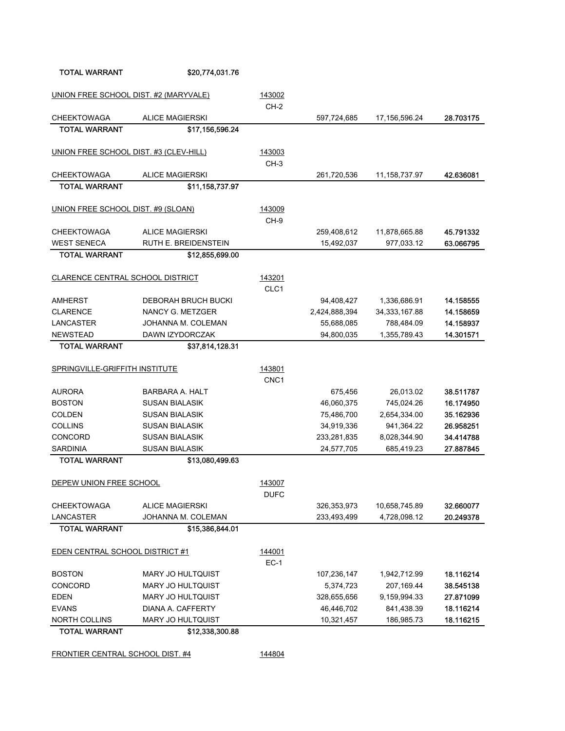FRONTIER CENTRAL SCHOOL DIST. #4 144804

| UNION FREE SCHOOL DIST. #2 (MARYVALE)      |                                        | 143002           |               |                  |                        |
|--------------------------------------------|----------------------------------------|------------------|---------------|------------------|------------------------|
|                                            | <b>ALICE MAGIERSKI</b>                 | $CH-2$           |               |                  |                        |
| <b>CHEEKTOWAGA</b><br><b>TOTAL WARRANT</b> | \$17,156,596.24                        |                  | 597,724,685   | 17,156,596.24    | 28.703175              |
|                                            |                                        |                  |               |                  |                        |
| UNION FREE SCHOOL DIST. #3 (CLEV-HILL)     |                                        | 143003           |               |                  |                        |
|                                            |                                        | $CH-3$           |               |                  |                        |
| <b>CHEEKTOWAGA</b>                         | <b>ALICE MAGIERSKI</b>                 |                  | 261,720,536   | 11, 158, 737. 97 | 42.636081              |
| <b>TOTAL WARRANT</b>                       | \$11,158,737.97                        |                  |               |                  |                        |
|                                            |                                        |                  |               |                  |                        |
| UNION FREE SCHOOL DIST. #9 (SLOAN)         |                                        | 143009           |               |                  |                        |
|                                            |                                        | CH-9             |               |                  |                        |
| <b>CHEEKTOWAGA</b>                         | <b>ALICE MAGIERSKI</b>                 |                  | 259,408,612   | 11,878,665.88    | 45.791332              |
| <b>WEST SENECA</b>                         | RUTH E. BREIDENSTEIN                   |                  | 15,492,037    | 977,033.12       | 63.066795              |
| <b>TOTAL WARRANT</b>                       | \$12,855,699.00                        |                  |               |                  |                        |
|                                            |                                        |                  |               |                  |                        |
| CLARENCE CENTRAL SCHOOL DISTRICT           |                                        | 143201           |               |                  |                        |
|                                            |                                        | CLC1             |               |                  |                        |
| AMHERST                                    | <b>DEBORAH BRUCH BUCKI</b>             |                  | 94,408,427    | 1,336,686.91     | 14.158555              |
| <b>CLARENCE</b>                            | NANCY G. METZGER<br>JOHANNA M. COLEMAN |                  | 2,424,888,394 | 34, 333, 167.88  | 14.158659<br>14.158937 |
| LANCASTER                                  |                                        |                  | 55,688,085    | 788,484.09       | 14.301571              |
| <b>NEWSTEAD</b><br><b>TOTAL WARRANT</b>    | DAWN IZYDORCZAK<br>\$37,814,128.31     |                  | 94,800,035    | 1,355,789.43     |                        |
|                                            |                                        |                  |               |                  |                        |
| SPRINGVILLE-GRIFFITH INSTITUTE             |                                        | 143801           |               |                  |                        |
|                                            |                                        | CNC <sub>1</sub> |               |                  |                        |
| <b>AURORA</b>                              | <b>BARBARA A. HALT</b>                 |                  | 675,456       | 26,013.02        | 38.511787              |
| <b>BOSTON</b>                              | <b>SUSAN BIALASIK</b>                  |                  | 46,060,375    | 745,024.26       | 16.174950              |
| <b>COLDEN</b>                              | <b>SUSAN BIALASIK</b>                  |                  | 75,486,700    | 2,654,334.00     | 35.162936              |
| COLLINS                                    | <b>SUSAN BIALASIK</b>                  |                  | 34,919,336    | 941,364.22       | 26.958251              |
| CONCORD                                    | <b>SUSAN BIALASIK</b>                  |                  | 233,281,835   | 8,028,344.90     | 34.414788              |
| <b>SARDINIA</b>                            | <b>SUSAN BIALASIK</b>                  |                  | 24,577,705    | 685,419.23       | 27.887845              |
| <b>TOTAL WARRANT</b>                       | \$13,080,499.63                        |                  |               |                  |                        |
|                                            |                                        |                  |               |                  |                        |
| DEPEW UNION FREE SCHOOL                    |                                        | 143007           |               |                  |                        |
|                                            |                                        | <b>DUFC</b>      |               |                  |                        |
| <b>CHEEKTOWAGA</b>                         | <b>ALICE MAGIERSKI</b>                 |                  | 326,353,973   | 10,658,745.89    | 32.660077              |
| LANCASTER                                  | JOHANNA M. COLEMAN                     |                  | 233,493,499   | 4,728,098.12     | 20.249378              |
| <b>TOTAL WARRANT</b>                       | \$15,386,844.01                        |                  |               |                  |                        |
| EDEN CENTRAL SCHOOL DISTRICT #1            |                                        |                  |               |                  |                        |
|                                            |                                        | 144001<br>$EC-1$ |               |                  |                        |
| <b>BOSTON</b>                              | MARY JO HULTQUIST                      |                  | 107,236,147   | 1,942,712.99     | 18.116214              |
| CONCORD                                    | MARY JO HULTQUIST                      |                  | 5,374,723     | 207,169.44       | 38.545138              |
| EDEN                                       | MARY JO HULTQUIST                      |                  | 328,655,656   | 9,159,994.33     | 27.871099              |
| EVANS                                      | DIANA A. CAFFERTY                      |                  | 46,446,702    | 841,438.39       | 18.116214              |
| <b>NORTH COLLINS</b>                       | MARY JO HULTQUIST                      |                  | 10,321,457    | 186,985.73       | 18.116215              |
| <b>TOTAL WARRANT</b>                       | \$12,338,300.88                        |                  |               |                  |                        |
|                                            |                                        |                  |               |                  |                        |

TOTAL WARRANT \$20,774,031.76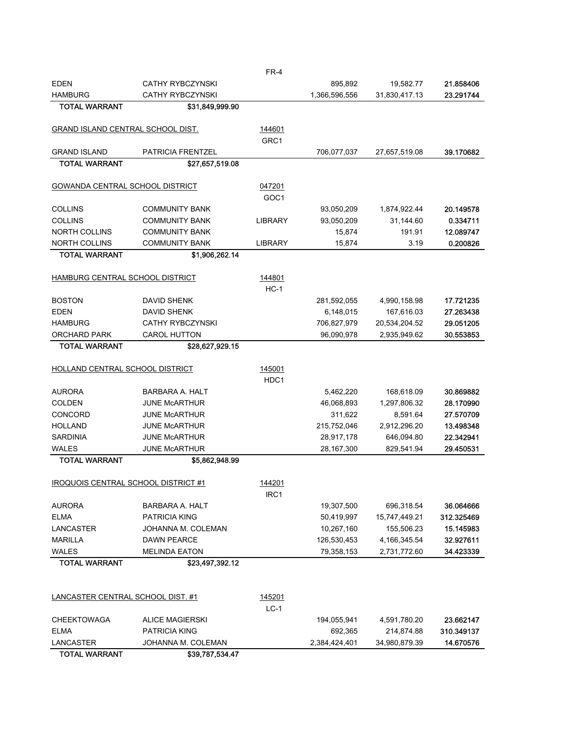| <b>EDEN</b>                              | <b>CATHY RYBCZYNSKI</b>  |                  | 895,892       | 19,582.77     | 21.858406  |
|------------------------------------------|--------------------------|------------------|---------------|---------------|------------|
| <b>HAMBURG</b>                           | <b>CATHY RYBCZYNSKI</b>  |                  | 1,366,596,556 | 31,830,417.13 | 23.291744  |
| <b>TOTAL WARRANT</b>                     | \$31,849,999.90          |                  |               |               |            |
| GRAND ISLAND CENTRAL SCHOOL DIST.        |                          | 144601           |               |               |            |
|                                          |                          | GRC <sub>1</sub> |               |               |            |
| <b>GRAND ISLAND</b>                      | <b>PATRICIA FRENTZEL</b> |                  | 706,077,037   | 27,657,519.08 | 39.170682  |
| <b>TOTAL WARRANT</b>                     | \$27,657,519.08          |                  |               |               |            |
| <b>GOWANDA CENTRAL SCHOOL DISTRICT</b>   |                          | 047201           |               |               |            |
|                                          |                          | GOC1             |               |               |            |
| <b>COLLINS</b>                           | <b>COMMUNITY BANK</b>    |                  | 93,050,209    | 1,874,922.44  | 20.149578  |
| <b>COLLINS</b>                           | COMMUNITY BANK           | <b>LIBRARY</b>   | 93,050,209    | 31,144.60     | 0.334711   |
| <b>NORTH COLLINS</b>                     | <b>COMMUNITY BANK</b>    |                  | 15,874        | 191.91        | 12.089747  |
| <b>NORTH COLLINS</b>                     | <b>COMMUNITY BANK</b>    | <b>LIBRARY</b>   | 15,874        | 3.19          | 0.200826   |
| <b>TOTAL WARRANT</b>                     | \$1,906,262.14           |                  |               |               |            |
|                                          |                          |                  |               |               |            |
| HAMBURG CENTRAL SCHOOL DISTRICT          |                          | 144801           |               |               |            |
|                                          |                          | $HC-1$           |               |               |            |
| <b>BOSTON</b>                            | <b>DAVID SHENK</b>       |                  | 281,592,055   | 4,990,158.98  | 17.721235  |
| <b>EDEN</b>                              | <b>DAVID SHENK</b>       |                  | 6,148,015     | 167,616.03    | 27.263438  |
| <b>HAMBURG</b>                           | <b>CATHY RYBCZYNSKI</b>  |                  | 706,827,979   | 20,534,204.52 | 29.051205  |
| <b>ORCHARD PARK</b>                      | <b>CAROL HUTTON</b>      |                  | 96,090,978    | 2,935,949.62  | 30.553853  |
| <b>TOTAL WARRANT</b>                     | \$28,627,929.15          |                  |               |               |            |
| HOLLAND CENTRAL SCHOOL DISTRICT          |                          | 145001           |               |               |            |
|                                          |                          | HDC1             |               |               |            |
| <b>AURORA</b>                            | BARBARA A. HALT          |                  | 5,462,220     | 168,618.09    | 30.869882  |
| <b>COLDEN</b>                            | <b>JUNE MCARTHUR</b>     |                  | 46,068,893    | 1,297,806.32  | 28.170990  |
| <b>CONCORD</b>                           | <b>JUNE MCARTHUR</b>     |                  | 311,622       | 8,591.64      | 27.570709  |
| <b>HOLLAND</b>                           | <b>JUNE MCARTHUR</b>     |                  | 215,752,046   | 2,912,296.20  | 13.498348  |
| <b>SARDINIA</b>                          | <b>JUNE MCARTHUR</b>     |                  | 28,917,178    | 646,094.80    | 22.342941  |
| <b>WALES</b>                             | <b>JUNE MCARTHUR</b>     |                  | 28,167,300    | 829,541.94    | 29.450531  |
| <b>TOTAL WARRANT</b>                     | \$5,862,948.99           |                  |               |               |            |
|                                          |                          |                  |               |               |            |
| IROQUOIS CENTRAL SCHOOL DISTRICT #1      |                          | 144201           |               |               |            |
|                                          |                          | IRC1             |               |               |            |
| <b>AURORA</b>                            | BARBARA A. HALT          |                  | 19,307,500    | 696,318.54    | 36.064666  |
| <b>ELMA</b>                              | PATRICIA KING            |                  | 50,419,997    | 15,747,449.21 | 312.325469 |
| LANCASTER                                | JOHANNA M. COLEMAN       |                  | 10,267,160    | 155,506.23    | 15.145983  |
| <b>MARILLA</b>                           | <b>DAWN PEARCE</b>       |                  | 126,530,453   | 4,166,345.54  | 32.927611  |
| <b>WALES</b>                             | <b>MELINDA EATON</b>     |                  | 79,358,153    | 2,731,772.60  | 34.423339  |
| <b>TOTAL WARRANT</b>                     | \$23,497,392.12          |                  |               |               |            |
|                                          |                          |                  |               |               |            |
|                                          |                          |                  |               |               |            |
| <b>LANCASTER CENTRAL SCHOOL DIST. #1</b> |                          | 145201<br>$LC-1$ |               |               |            |
| <b>CHEEKTOWAGA</b>                       | <b>ALICE MAGIERSKI</b>   |                  | 194,055,941   | 4,591,780.20  | 23.662147  |
| <b>ELMA</b>                              | PATRICIA KING            |                  | 692,365       | 214,874.88    | 310.349137 |
| LANCASTER                                | JOHANNA M. COLEMAN       |                  | 2,384,424,401 | 34,980,879.39 | 14.670576  |
| <b>TOTAL WARRANT</b>                     | \$39,787,534.47          |                  |               |               |            |

FR-4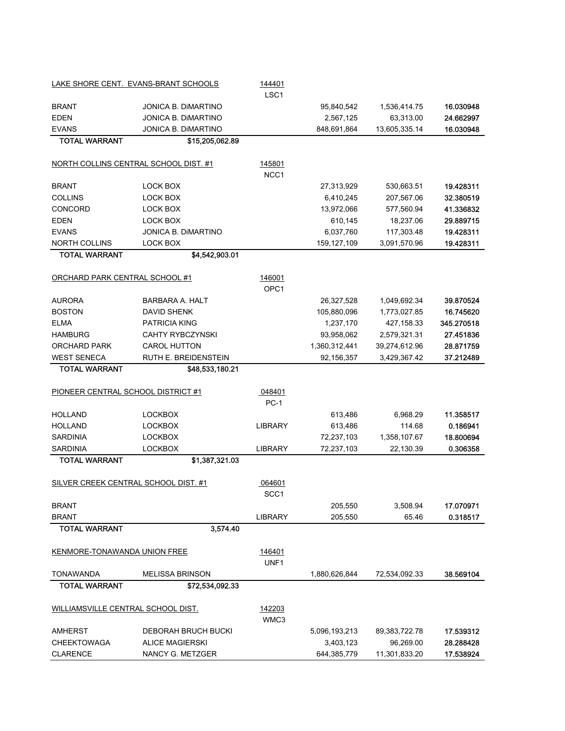|                                      | LAKE SHORE CENT. EVANS-BRANT SCHOOLS  | 144401<br>LSC <sub>1</sub> |               |               |            |
|--------------------------------------|---------------------------------------|----------------------------|---------------|---------------|------------|
| <b>BRANT</b>                         | <b>JONICA B. DIMARTINO</b>            |                            | 95,840,542    | 1,536,414.75  | 16.030948  |
| <b>EDEN</b>                          | JONICA B. DIMARTINO                   |                            | 2,567,125     | 63,313.00     | 24.662997  |
| <b>EVANS</b>                         | JONICA B. DIMARTINO                   |                            | 848,691,864   | 13,605,335.14 | 16.030948  |
| <b>TOTAL WARRANT</b>                 | \$15,205,062.89                       |                            |               |               |            |
|                                      | NORTH COLLINS CENTRAL SCHOOL DIST. #1 | 145801                     |               |               |            |
|                                      |                                       | NCC1                       |               |               |            |
| <b>BRANT</b>                         | <b>LOCK BOX</b>                       |                            | 27,313,929    | 530,663.51    | 19.428311  |
| <b>COLLINS</b>                       | LOCK BOX                              |                            | 6,410,245     | 207,567.06    | 32.380519  |
| CONCORD                              | LOCK BOX                              |                            | 13,972,066    | 577,560.94    | 41.336832  |
| <b>EDEN</b>                          | LOCK BOX                              |                            | 610,145       | 18,237.06     | 29.889715  |
| <b>EVANS</b>                         | JONICA B. DIMARTINO                   |                            | 6,037,760     | 117,303.48    | 19.428311  |
| <b>NORTH COLLINS</b>                 | LOCK BOX                              |                            | 159, 127, 109 | 3,091,570.96  | 19.428311  |
| <b>TOTAL WARRANT</b>                 | \$4,542,903.01                        |                            |               |               |            |
| ORCHARD PARK CENTRAL SCHOOL #1       |                                       | 146001                     |               |               |            |
|                                      |                                       | OPC <sub>1</sub>           |               |               |            |
| <b>AURORA</b>                        | <b>BARBARA A. HALT</b>                |                            | 26,327,528    | 1,049,692.34  | 39.870524  |
| <b>BOSTON</b>                        | <b>DAVID SHENK</b>                    |                            | 105,880,096   | 1,773,027.85  | 16.745620  |
| <b>ELMA</b>                          | <b>PATRICIA KING</b>                  |                            | 1,237,170     | 427,158.33    | 345.270518 |
| <b>HAMBURG</b>                       | <b>CAHTY RYBCZYNSKI</b>               |                            | 93,958,062    | 2,579,321.31  | 27.451836  |
| <b>ORCHARD PARK</b>                  | <b>CAROL HUTTON</b>                   |                            | 1,360,312,441 | 39,274,612.96 | 28.871759  |
| <b>WEST SENECA</b>                   | RUTH E. BREIDENSTEIN                  |                            | 92,156,357    | 3,429,367.42  | 37.212489  |
| <b>TOTAL WARRANT</b>                 | \$48,533,180.21                       |                            |               |               |            |
| PIONEER CENTRAL SCHOOL DISTRICT #1   |                                       | 048401<br>$PC-1$           |               |               |            |
| <b>HOLLAND</b>                       | <b>LOCKBOX</b>                        |                            | 613,486       | 6,968.29      | 11.358517  |
| <b>HOLLAND</b>                       | <b>LOCKBOX</b>                        | <b>LIBRARY</b>             | 613,486       | 114.68        | 0.186941   |
| <b>SARDINIA</b>                      | <b>LOCKBOX</b>                        |                            | 72,237,103    | 1,358,107.67  | 18.800694  |
| <b>SARDINIA</b>                      | <b>LOCKBOX</b>                        | <b>LIBRARY</b>             | 72,237,103    | 22,130.39     | 0.306358   |
| <b>TOTAL WARRANT</b>                 | \$1,387,321.03                        |                            |               |               |            |
|                                      |                                       |                            |               |               |            |
| SILVER CREEK CENTRAL SCHOOL DIST. #1 |                                       | 064601                     |               |               |            |
|                                      |                                       | SCC1                       |               |               |            |
| <b>BRANT</b>                         |                                       |                            | 205,550       | 3,508.94      | 17.070971  |
| <b>BRANT</b>                         |                                       | <b>LIBRARY</b>             | 205,550       | 65.46         | 0.318517   |
| <b>TOTAL WARRANT</b>                 | 3,574.40                              |                            |               |               |            |
| KENMORE-TONAWANDA UNION FREE         |                                       | 146401                     |               |               |            |
|                                      |                                       | UNF1                       |               |               |            |
| TONAWANDA                            | <b>MELISSA BRINSON</b>                |                            | 1,880,626,844 | 72,534,092.33 | 38.569104  |
| <b>TOTAL WARRANT</b>                 | \$72,534,092.33                       |                            |               |               |            |
| WILLIAMSVILLE CENTRAL SCHOOL DIST.   |                                       | 142203<br>WMC3             |               |               |            |
| <b>AMHERST</b>                       | DEBORAH BRUCH BUCKI                   |                            | 5,096,193,213 | 89,383,722.78 | 17.539312  |
| <b>CHEEKTOWAGA</b>                   | <b>ALICE MAGIERSKI</b>                |                            | 3,403,123     | 96,269.00     | 28.288428  |
| <b>CLARENCE</b>                      | NANCY G. METZGER                      |                            | 644,385,779   | 11,301,833.20 | 17.538924  |
|                                      |                                       |                            |               |               |            |